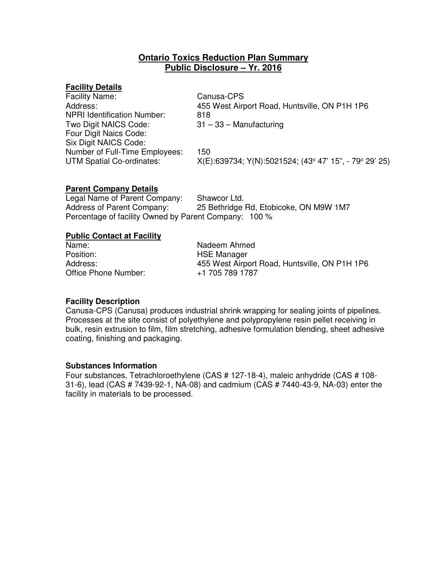# **Ontario Toxics Reduction Plan Summary Public Disclosure – Yr. 2016**

# **Facility Details**

| <b>Facility Name:</b>              | Canusa-CPS                                             |
|------------------------------------|--------------------------------------------------------|
| Address:                           | 455 West Airport Road, Huntsville, ON P1H 1P6          |
| <b>NPRI Identification Number:</b> | 818                                                    |
| Two Digit NAICS Code:              | $31 - 33 -$ Manufacturing                              |
| Four Digit Naics Code:             |                                                        |
| Six Digit NAICS Code:              |                                                        |
| Number of Full-Time Employees:     | 150                                                    |
| <b>UTM Spatial Co-ordinates:</b>   | X(E):639734; Y(N):5021524; (43° 47' 15", - 79° 29' 25) |
|                                    |                                                        |

# **Parent Company Details**

Legal Name of Parent Company: Shawcor Ltd. Address of Parent Company: 25 Bethridge Rd, Etobicoke, ON M9W 1M7 Percentage of facility Owned by Parent Company: 100 %

# **Public Contact at Facility**

Name:<br>
Position:<br>
Position:<br>
Nation:<br>
Name HSE Manager Position: Fig. 2016. HSE Manager<br>Address: Fig. 2016. HSE Mest Airp Office Phone Number:

455 West Airport Road, Huntsville, ON P1H 1P6<br>+1 705 789 1787

# **Facility Description**

Canusa-CPS (Canusa) produces industrial shrink wrapping for sealing joints of pipelines. Processes at the site consist of polyethylene and polypropylene resin pellet receiving in bulk, resin extrusion to film, film stretching, adhesive formulation blending, sheet adhesive coating, finishing and packaging.

#### **Substances Information**

Four substances, Tetrachloroethylene (CAS # 127-18-4), maleic anhydride (CAS # 108- 31-6), lead (CAS # 7439-92-1, NA-08) and cadmium (CAS # 7440-43-9, NA-03) enter the facility in materials to be processed.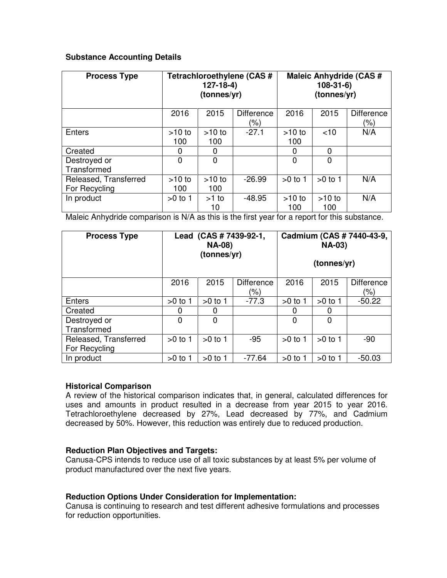# **Substance Accounting Details**

| <b>Process Type</b>                    | Tetrachloroethylene (CAS #<br>$127-18-4)$<br>(tonnes/yr) |                 |                          | <b>Maleic Anhydride (CAS #</b><br>$108-31-6$<br>(tonnes/yr) |                 |                          |
|----------------------------------------|----------------------------------------------------------|-----------------|--------------------------|-------------------------------------------------------------|-----------------|--------------------------|
|                                        | 2016                                                     | 2015            | <b>Difference</b><br>(%) | 2016                                                        | 2015            | <b>Difference</b><br>(%) |
| Enters                                 | $>10$ to<br>100                                          | $>10$ to<br>100 | $-27.1$                  | $>10$ to<br>100                                             | $<$ 10          | N/A                      |
| Created                                | 0                                                        | 0               |                          | 0                                                           | 0               |                          |
| Destroyed or<br>Transformed            | 0                                                        | $\Omega$        |                          | $\Omega$                                                    | 0               |                          |
| Released, Transferred<br>For Recycling | $>10$ to<br>100                                          | $>10$ to<br>100 | $-26.99$                 | $>0$ to 1                                                   | $>0$ to 1       | N/A                      |
| In product                             | $>0$ to 1                                                | $>1$ to<br>10   | $-48.95$                 | $>10$ to<br>100                                             | $>10$ to<br>100 | N/A                      |

Maleic Anhydride comparison is N/A as this is the first year for a report for this substance.

| <b>Process Type</b>                    | Lead (CAS # 7439-92-1,<br><b>NA-08)</b><br>(tonnes/yr) |           |                          | Cadmium (CAS # 7440-43-9,<br><b>NA-03)</b><br>(tonnes/yr) |           |                          |  |
|----------------------------------------|--------------------------------------------------------|-----------|--------------------------|-----------------------------------------------------------|-----------|--------------------------|--|
|                                        | 2016                                                   | 2015      | <b>Difference</b><br>(%) | 2016                                                      | 2015      | <b>Difference</b><br>(%) |  |
| <b>Enters</b>                          | $>0$ to 1                                              | $>0$ to 1 | $-77.3$                  | $>0$ to 1                                                 | $>0$ to 1 | $-50.22$                 |  |
| Created                                | 0                                                      | 0         |                          | 0                                                         | 0         |                          |  |
| Destroyed or<br>Transformed            | $\Omega$                                               | 0         |                          | 0                                                         | 0         |                          |  |
| Released, Transferred<br>For Recycling | $>0$ to 1                                              | $>0$ to 1 | $-95$                    | $>0$ to 1                                                 | $>0$ to 1 | -90                      |  |
| In product                             | $>0$ to 1                                              | $>0$ to 1 | $-77.64$                 | $>0$ to 1                                                 | $>0$ to 1 | $-50.03$                 |  |

# **Historical Comparison**

A review of the historical comparison indicates that, in general, calculated differences for uses and amounts in product resulted in a decrease from year 2015 to year 2016. Tetrachloroethylene decreased by 27%, Lead decreased by 77%, and Cadmium decreased by 50%. However, this reduction was entirely due to reduced production.

# **Reduction Plan Objectives and Targets:**

Canusa-CPS intends to reduce use of all toxic substances by at least 5% per volume of product manufactured over the next five years.

# **Reduction Options Under Consideration for Implementation:**

Canusa is continuing to research and test different adhesive formulations and processes for reduction opportunities.